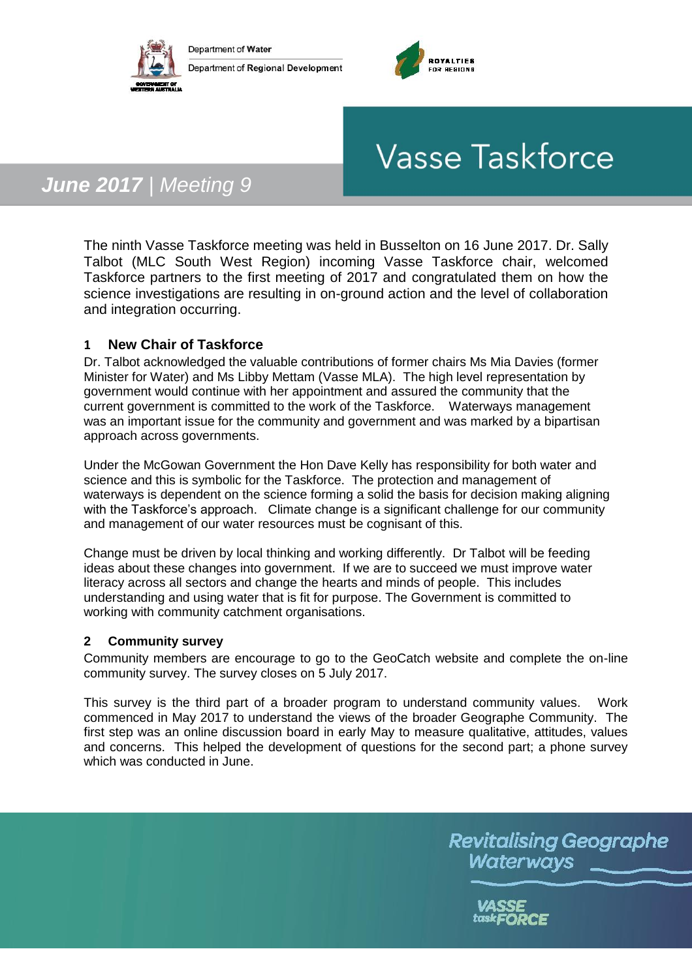



# **Vasse Taskforce**

# *June 2017 | Meeting 9*

The ninth Vasse Taskforce meeting was held in Busselton on 16 June 2017. Dr. Sally Talbot (MLC South West Region) incoming Vasse Taskforce chair, welcomed Taskforce partners to the first meeting of 2017 and congratulated them on how the science investigations are resulting in on-ground action and the level of collaboration and integration occurring.

# **1 New Chair of Taskforce**

Dr. Talbot acknowledged the valuable contributions of former chairs Ms Mia Davies (former Minister for Water) and Ms Libby Mettam (Vasse MLA). The high level representation by government would continue with her appointment and assured the community that the current government is committed to the work of the Taskforce. Waterways management was an important issue for the community and government and was marked by a bipartisan approach across governments.

Under the McGowan Government the Hon Dave Kelly has responsibility for both water and science and this is symbolic for the Taskforce. The protection and management of waterways is dependent on the science forming a solid the basis for decision making aligning with the Taskforce's approach. Climate change is a significant challenge for our community and management of our water resources must be cognisant of this.

Change must be driven by local thinking and working differently. Dr Talbot will be feeding ideas about these changes into government. If we are to succeed we must improve water literacy across all sectors and change the hearts and minds of people. This includes understanding and using water that is fit for purpose. The Government is committed to working with community catchment organisations.

## **2 Community survey**

Community members are encourage to go to the GeoCatch website and complete the on-line community survey. The survey closes on 5 July 2017.

This survey is the third part of a broader program to understand community values. Work commenced in May 2017 to understand the views of the broader Geographe Community. The first step was an online discussion board in early May to measure qualitative, attitudes, values and concerns. This helped the development of questions for the second part; a phone survey which was conducted in June.

> **Revitalising Geographe Waterways**

> > VASSE taskFORCE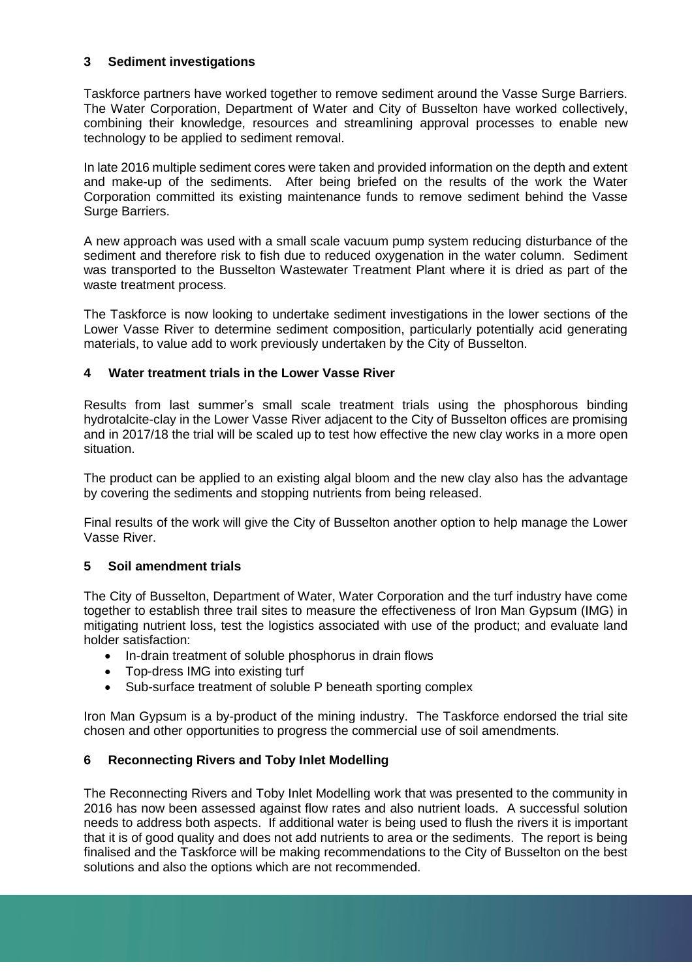#### **3 Sediment investigations**

Taskforce partners have worked together to remove sediment around the Vasse Surge Barriers. The Water Corporation, Department of Water and City of Busselton have worked collectively, combining their knowledge, resources and streamlining approval processes to enable new technology to be applied to sediment removal.

In late 2016 multiple sediment cores were taken and provided information on the depth and extent and make-up of the sediments. After being briefed on the results of the work the Water Corporation committed its existing maintenance funds to remove sediment behind the Vasse Surge Barriers.

A new approach was used with a small scale vacuum pump system reducing disturbance of the sediment and therefore risk to fish due to reduced oxygenation in the water column. Sediment was transported to the Busselton Wastewater Treatment Plant where it is dried as part of the waste treatment process.

The Taskforce is now looking to undertake sediment investigations in the lower sections of the Lower Vasse River to determine sediment composition, particularly potentially acid generating materials, to value add to work previously undertaken by the City of Busselton.

#### **4 Water treatment trials in the Lower Vasse River**

Results from last summer's small scale treatment trials using the phosphorous binding hydrotalcite-clay in the Lower Vasse River adjacent to the City of Busselton offices are promising and in 2017/18 the trial will be scaled up to test how effective the new clay works in a more open situation.

The product can be applied to an existing algal bloom and the new clay also has the advantage by covering the sediments and stopping nutrients from being released.

Final results of the work will give the City of Busselton another option to help manage the Lower Vasse River.

#### **5 Soil amendment trials**

The City of Busselton, Department of Water, Water Corporation and the turf industry have come together to establish three trail sites to measure the effectiveness of Iron Man Gypsum (IMG) in mitigating nutrient loss, test the logistics associated with use of the product; and evaluate land holder satisfaction:

- In-drain treatment of soluble phosphorus in drain flows
- Top-dress IMG into existing turf
- Sub-surface treatment of soluble P beneath sporting complex

Iron Man Gypsum is a by-product of the mining industry. The Taskforce endorsed the trial site chosen and other opportunities to progress the commercial use of soil amendments.

## **6 Reconnecting Rivers and Toby Inlet Modelling**

The Reconnecting Rivers and Toby Inlet Modelling work that was presented to the community in 2016 has now been assessed against flow rates and also nutrient loads. A successful solution needs to address both aspects. If additional water is being used to flush the rivers it is important that it is of good quality and does not add nutrients to area or the sediments. The report is being finalised and the Taskforce will be making recommendations to the City of Busselton on the best solutions and also the options which are not recommended.